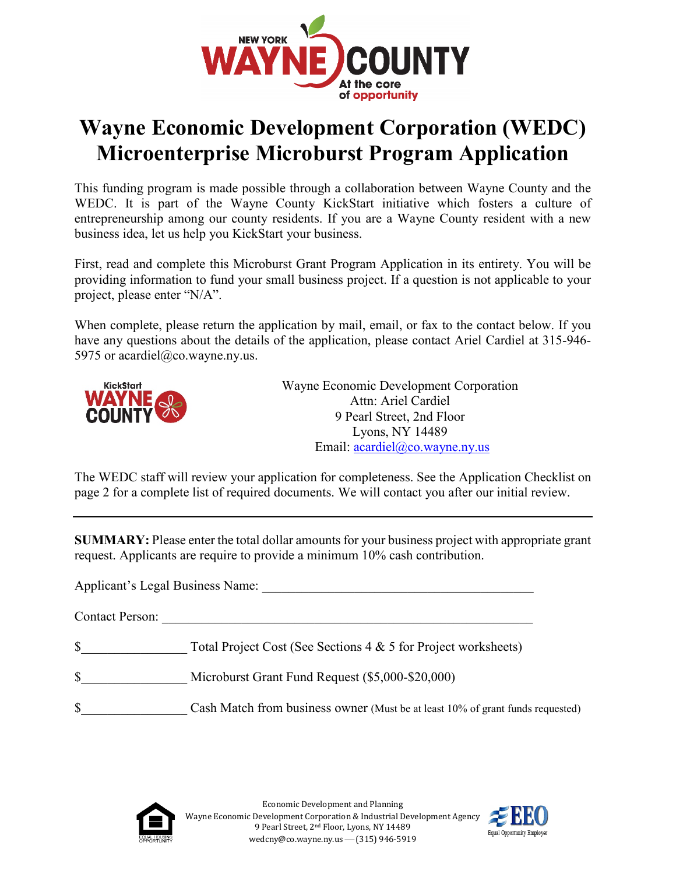

# **Wayne Economic Development Corporation (WEDC) Microenterprise Microburst Program Application**

This funding program is made possible through a collaboration between Wayne County and the WEDC. It is part of the Wayne County KickStart initiative which fosters a culture of entrepreneurship among our county residents. If you are a Wayne County resident with a new business idea, let us help you KickStart your business.

First, read and complete this Microburst Grant Program Application in its entirety. You will be providing information to fund your small business project. If a question is not applicable to your project, please enter "N/A".

When complete, please return the application by mail, email, or fax to the contact below. If you have any questions about the details of the application, please contact Ariel Cardiel at 315-946- 5975 or acardiel@co.wayne.ny.us.



Wayne Economic Development Corporation Attn: Ariel Cardiel 9 Pearl Street, 2nd Floor Lyons, NY 14489 Email: [acardiel@co.wayne.ny.us](mailto:acardiel@co.wayne.ny.us) 

The WEDC staff will review your application for completeness. See the Application Checklist on page 2 for a complete list of required documents. We will contact you after our initial review.

**SUMMARY:** Please enter the total dollar amounts for your business project with appropriate grant request. Applicants are require to provide a minimum 10% cash contribution.

Applicant's Legal Business Name:

Contact Person:

\$ Total Project Cost (See [Sections 4 & 5](#page-5-0) for Project worksheets)

- \$ Microburst Grant Fund Request (\$5,000-\$20,000)
- \$ Cash Match from business owner (Must be at least 10% of grant funds requested)



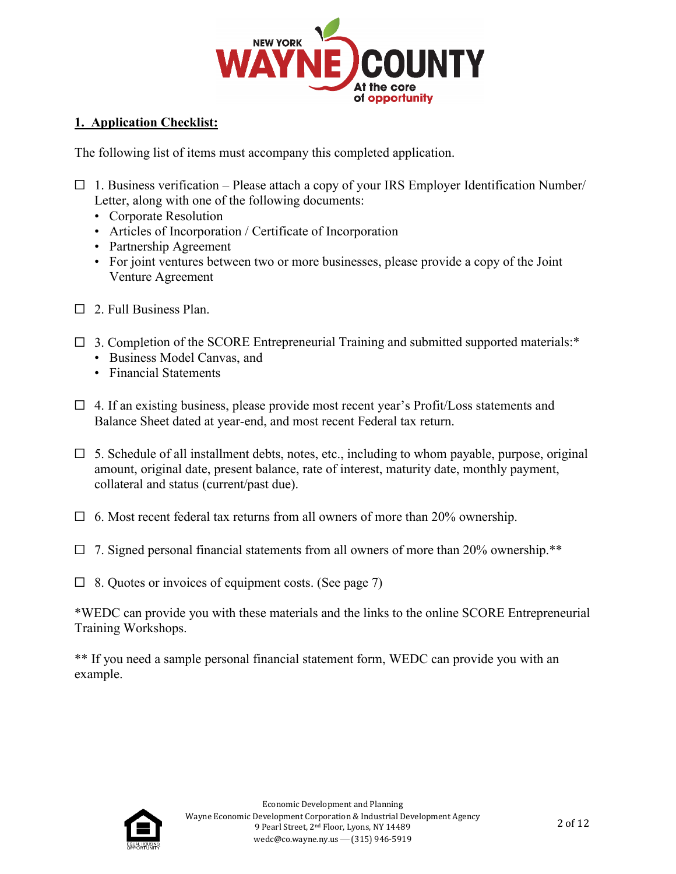

#### **1. Application Checklist:**

The following list of items must accompany this completed application.

- $\Box$  1. Business verification Please attach a copy of your IRS Employer Identification Number/ Letter, along with one of the following documents:
	- Corporate Resolution
	- Articles of Incorporation / Certificate of Incorporation
	- Partnership Agreement
	- For joint ventures between two or more businesses, please provide a copy of the Joint Venture Agreement
- ☐ 2. Full Business Plan.
- $\Box$  3. Completion of the SCORE Entrepreneurial Training and submitted supported materials:\*
	- Business Model Canvas, and
	- Financial Statements
- $\Box$  4. If an existing business, please provide most recent year's Profit/Loss statements and Balance Sheet dated at year-end, and most recent Federal tax return.
- $\Box$  5. Schedule of all installment debts, notes, etc., including to whom payable, purpose, original amount, original date, present balance, rate of interest, maturity date, monthly payment, collateral and status (current/past due).
- $\Box$  6. Most recent federal tax returns from all owners of more than 20% ownership.
- $\Box$  7. Signed personal financial statements from all owners of more than 20% ownership.\*\*
- $\Box$  8. Quotes or invoices of equipment costs. (See page 7)

\*WEDC can provide you with these materials and the links to the online SCORE Entrepreneurial Training Workshops.

\*\* If you need a sample personal financial statement form, WEDC can provide you with an example.

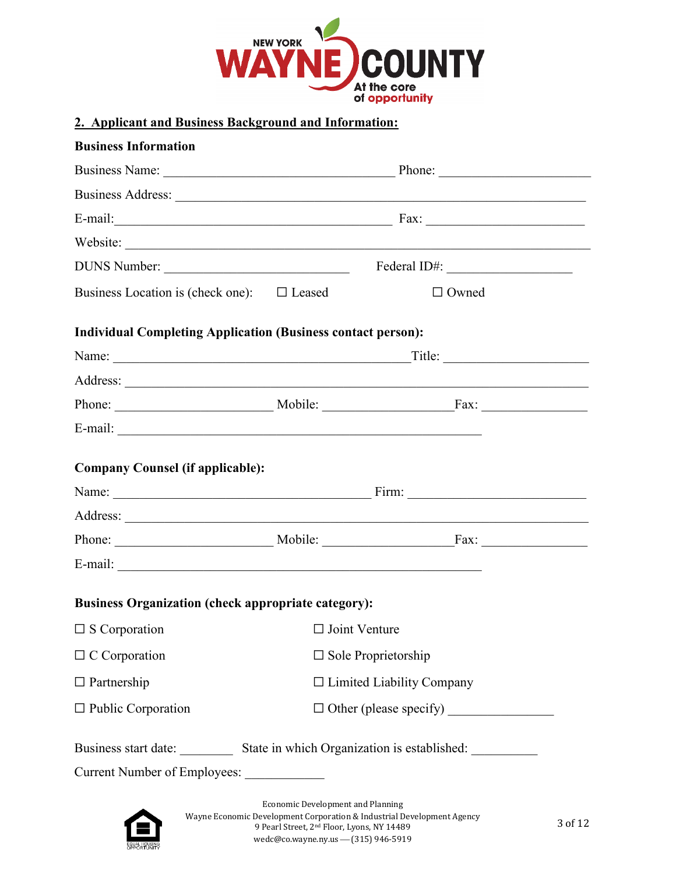

#### <span id="page-2-0"></span>**2. Applicant and Business Background and Information:**

| Website:<br>DUNS Number:<br>Business Location is (check one): $\square$ Leased<br>$\Box$ Owned<br><b>Individual Completing Application (Business contact person):</b><br><b>Company Counsel (if applicable):</b><br>Phone: Mobile: Fax:<br><b>Business Organization (check appropriate category):</b><br>$\Box$ Joint Venture<br>$\square$ Sole Proprietorship | <b>Business Information</b> |              |
|----------------------------------------------------------------------------------------------------------------------------------------------------------------------------------------------------------------------------------------------------------------------------------------------------------------------------------------------------------------|-----------------------------|--------------|
|                                                                                                                                                                                                                                                                                                                                                                |                             |              |
|                                                                                                                                                                                                                                                                                                                                                                |                             |              |
|                                                                                                                                                                                                                                                                                                                                                                |                             |              |
|                                                                                                                                                                                                                                                                                                                                                                |                             |              |
|                                                                                                                                                                                                                                                                                                                                                                |                             | Federal ID#: |
|                                                                                                                                                                                                                                                                                                                                                                |                             |              |
|                                                                                                                                                                                                                                                                                                                                                                |                             |              |
|                                                                                                                                                                                                                                                                                                                                                                |                             |              |
|                                                                                                                                                                                                                                                                                                                                                                |                             |              |
|                                                                                                                                                                                                                                                                                                                                                                |                             |              |
|                                                                                                                                                                                                                                                                                                                                                                |                             |              |
|                                                                                                                                                                                                                                                                                                                                                                |                             |              |
|                                                                                                                                                                                                                                                                                                                                                                |                             |              |
|                                                                                                                                                                                                                                                                                                                                                                |                             |              |
|                                                                                                                                                                                                                                                                                                                                                                |                             |              |
|                                                                                                                                                                                                                                                                                                                                                                |                             |              |
|                                                                                                                                                                                                                                                                                                                                                                |                             |              |
|                                                                                                                                                                                                                                                                                                                                                                | $\square$ S Corporation     |              |
|                                                                                                                                                                                                                                                                                                                                                                | $\Box$ C Corporation        |              |
| $\Box$ Limited Liability Company                                                                                                                                                                                                                                                                                                                               | $\Box$ Partnership          |              |
|                                                                                                                                                                                                                                                                                                                                                                | $\Box$ Public Corporation   |              |
| Business start date: ___________ State in which Organization is established: __________                                                                                                                                                                                                                                                                        |                             |              |
| Current Number of Employees:                                                                                                                                                                                                                                                                                                                                   |                             |              |



Wayne Economic Development Corporation & Industrial Development Agency 9 Pearl Street, 2nd Floor, Lyons, NY 14489 wedc@co.wayne.ny.us - (315) 946-5919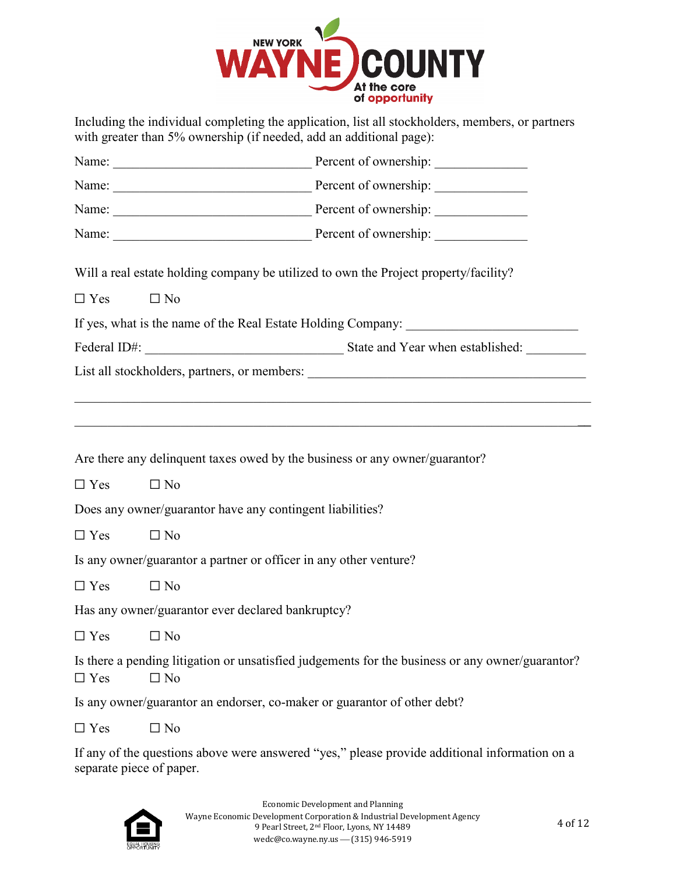

Including the individual completing the application, list all stockholders, members, or partners with greater than 5% ownership (if needed, add an additional page):

|                      |                                                                   | Will a real estate holding company be utilized to own the Project property/facility?             |  |  |  |
|----------------------|-------------------------------------------------------------------|--------------------------------------------------------------------------------------------------|--|--|--|
| $\Box$ Yes           | $\Box$ No                                                         |                                                                                                  |  |  |  |
|                      |                                                                   | If yes, what is the name of the Real Estate Holding Company: ____________________                |  |  |  |
|                      |                                                                   |                                                                                                  |  |  |  |
|                      |                                                                   |                                                                                                  |  |  |  |
|                      |                                                                   |                                                                                                  |  |  |  |
|                      |                                                                   |                                                                                                  |  |  |  |
|                      |                                                                   | Are there any delinquent taxes owed by the business or any owner/guarantor?                      |  |  |  |
| $\Box$ Yes           | $\Box$ No                                                         |                                                                                                  |  |  |  |
|                      | Does any owner/guarantor have any contingent liabilities?         |                                                                                                  |  |  |  |
| $\Box$ Yes           | $\Box$ No                                                         |                                                                                                  |  |  |  |
|                      | Is any owner/guarantor a partner or officer in any other venture? |                                                                                                  |  |  |  |
| $\Box$ Yes           | $\Box$ No                                                         |                                                                                                  |  |  |  |
|                      | Has any owner/guarantor ever declared bankruptcy?                 |                                                                                                  |  |  |  |
| $\Box$ Yes $\Box$ No |                                                                   |                                                                                                  |  |  |  |
| $\Box$ Yes           | $\Box$ No                                                         | Is there a pending litigation or unsatisfied judgements for the business or any owner/guarantor? |  |  |  |
|                      |                                                                   | Is any owner/guarantor an endorser, co-maker or guarantor of other debt?                         |  |  |  |
| $\Box$ Yes           | $\Box$ No                                                         |                                                                                                  |  |  |  |
|                      | separate piece of paper.                                          | If any of the questions above were answered "yes," please provide additional information on a    |  |  |  |

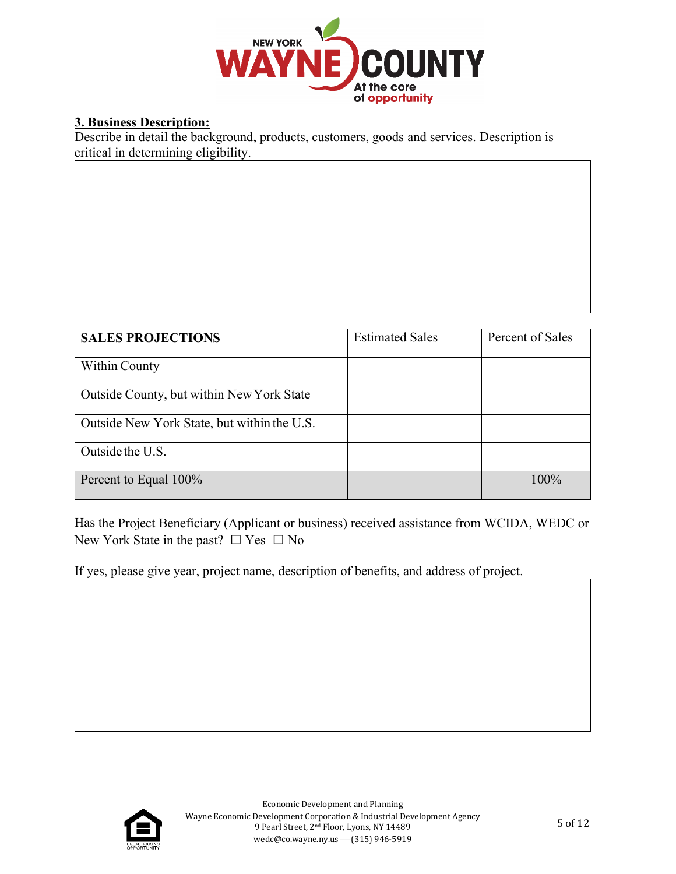

#### **3. Business Description:**

Describe in detail the background, products, customers, goods and services. Description is critical in determining eligibility.

| <b>SALES PROJECTIONS</b>                    | <b>Estimated Sales</b> | Percent of Sales |
|---------------------------------------------|------------------------|------------------|
| Within County                               |                        |                  |
| Outside County, but within New York State   |                        |                  |
| Outside New York State, but within the U.S. |                        |                  |
| Outside the U.S.                            |                        |                  |
| Percent to Equal 100%                       |                        | $100\%$          |

Has the Project Beneficiary (Applicant or business) received assistance from WCIDA, WEDC or New York State in the past?  $\Box$  Yes  $\Box$  No

If yes, please give year, project name, description of benefits, and address of project.

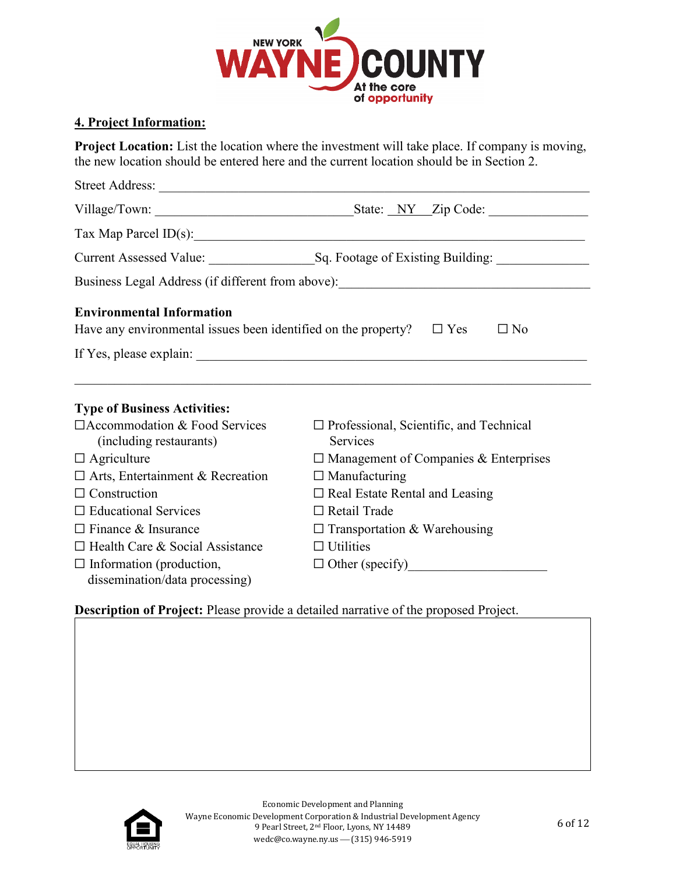

#### <span id="page-5-0"></span>**4. Project Information:**

**Project Location:** List the location where the investment will take place. If company is moving, the new location should be entered here and the current location should be in [Section 2.](#page-2-0) 

| Street Address:                                                              |                                                                                  |
|------------------------------------------------------------------------------|----------------------------------------------------------------------------------|
|                                                                              |                                                                                  |
|                                                                              | Tax Map Parcel ID(s): 1993                                                       |
|                                                                              |                                                                                  |
|                                                                              | Business Legal Address (if different from above): ______________________________ |
| <b>Environmental Information</b>                                             |                                                                                  |
| Have any environmental issues been identified on the property? $\square$ Yes | $\Box$ No                                                                        |
|                                                                              |                                                                                  |
|                                                                              |                                                                                  |
|                                                                              |                                                                                  |
| <b>Type of Business Activities:</b>                                          |                                                                                  |
| $\Box$ Accommodation & Food Services<br>(including restaurants)              | $\Box$ Professional, Scientific, and Technical<br>Services                       |
| $\Box$ Agriculture                                                           | $\Box$ Management of Companies & Enterprises                                     |
| $\Box$ Arts, Entertainment & Recreation                                      | $\Box$ Manufacturing                                                             |
| $\Box$ Construction                                                          | $\Box$ Real Estate Rental and Leasing                                            |
| $\Box$ Educational Services                                                  | $\Box$ Retail Trade                                                              |
| $\Box$ Finance & Insurance                                                   | $\Box$ Transportation & Warehousing                                              |
| $\Box$ Health Care & Social Assistance                                       | $\Box$ Utilities                                                                 |
| $\Box$ Information (production,<br>dissemination/data processing)            | $\Box$ Other (specify)                                                           |

**Description of Project:** Please provide a detailed narrative of the proposed Project.

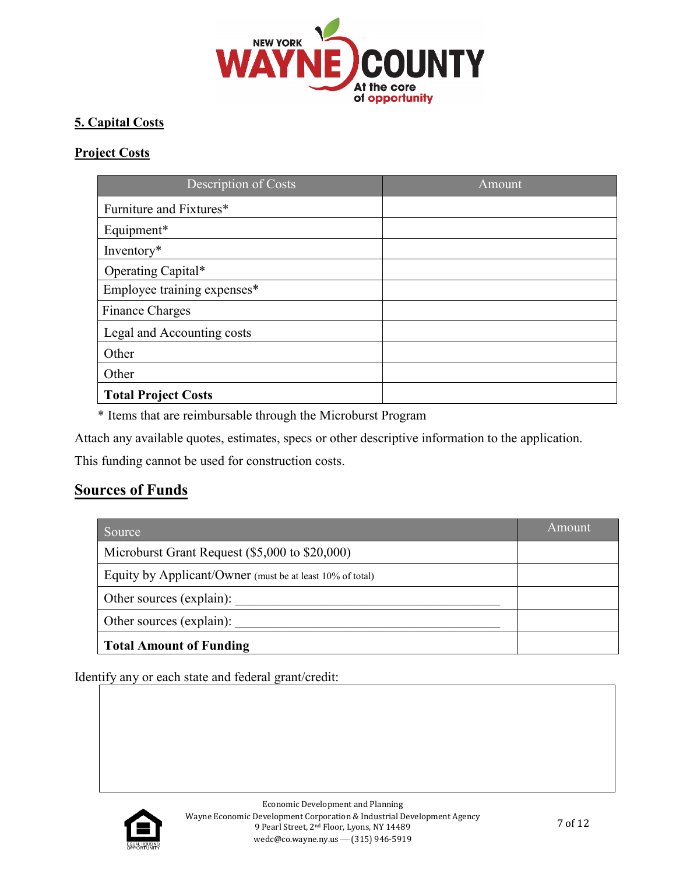

### <span id="page-6-0"></span>**5. Capital Costs**

#### **Project Costs**

| Description of Costs        | Amount |
|-----------------------------|--------|
| Furniture and Fixtures*     |        |
| Equipment*                  |        |
| Inventory*                  |        |
| Operating Capital*          |        |
| Employee training expenses* |        |
| <b>Finance Charges</b>      |        |
| Legal and Accounting costs  |        |
| Other                       |        |
| Other                       |        |
| <b>Total Project Costs</b>  |        |

\* Items that are reimbursable through the Microburst Program

Attach any available quotes, estimates, specs or other descriptive information to the application.

This funding cannot be used for construction costs.

## **Sources of Funds**

| Source                                                    | Amount |
|-----------------------------------------------------------|--------|
| Microburst Grant Request (\$5,000 to \$20,000)            |        |
| Equity by Applicant/Owner (must be at least 10% of total) |        |
| Other sources (explain):                                  |        |
| Other sources (explain):                                  |        |
| <b>Total Amount of Funding</b>                            |        |

Identify any or each state and federal grant/credit:

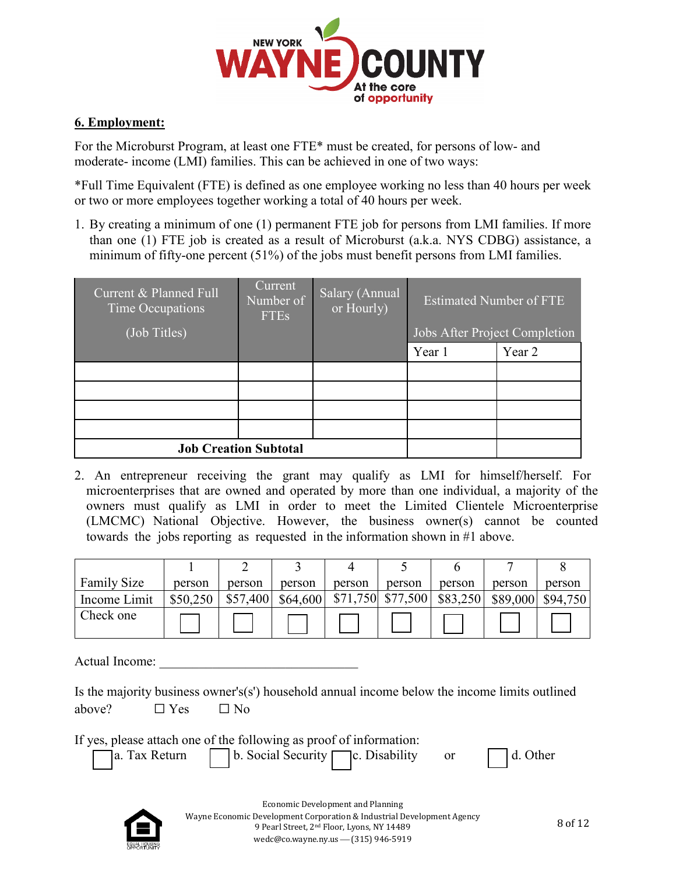

#### **6. Employment:**

For the Microburst Program, at least one FTE\* must be created, for persons of low- and moderate- income (LMI) families. This can be achieved in one of two ways:

\*Full Time Equivalent (FTE) is defined as one employee working no less than 40 hours per week or two or more employees together working a total of 40 hours per week.

1. By creating a minimum of one (1) permanent FTE job for persons from LMI families. If more than one (1) FTE job is created as a result of Microburst (a.k.a. NYS CDBG) assistance, a minimum of fifty-one percent (51%) of the jobs must benefit persons from LMI families.

| Current & Planned Full<br>Time Occupations<br>(Job Titles) | Current<br>Number of<br><b>FTEs</b> | Salary (Annual<br>or Hourly) | <b>Estimated Number of FTE</b><br>Jobs After Project Completion |        |
|------------------------------------------------------------|-------------------------------------|------------------------------|-----------------------------------------------------------------|--------|
|                                                            |                                     |                              | Year 1                                                          | Year 2 |
|                                                            |                                     |                              |                                                                 |        |
|                                                            |                                     |                              |                                                                 |        |
|                                                            |                                     |                              |                                                                 |        |
|                                                            |                                     |                              |                                                                 |        |
|                                                            | <b>Job Creation Subtotal</b>        |                              |                                                                 |        |

2. An entrepreneur receiving the grant may qualify as LMI for himself/herself. For microenterprises that are owned and operated by more than one individual, a majority of the owners must qualify as LMI in order to meet the Limited Clientele Microenterprise (LMCMC) National Objective. However, the business owner(s) cannot be counted towards the jobs reporting as requested in the information shown in #1 above.

| <b>Family Size</b> | person   | person   | person   | person | person              | person   | person | person            |
|--------------------|----------|----------|----------|--------|---------------------|----------|--------|-------------------|
| Income Limit       | \$50,250 | \$57,400 | \$64,600 |        | $$71,750$ $$77,500$ | \$83,250 |        | \$89,000 \$94,750 |
| Check one          |          |          |          |        |                     |          |        |                   |

Actual Income:

|                             |  | Is the majority business owner's(s') household annual income below the income limits outlined |  |  |  |
|-----------------------------|--|-----------------------------------------------------------------------------------------------|--|--|--|
| above? $\Box$ Yes $\Box$ No |  |                                                                                               |  |  |  |

If yes, please attach one of the following as proof of information:

|                | , picase attach one of the following as proof of information. |  |          |
|----------------|---------------------------------------------------------------|--|----------|
| 7a. Tax Return | $\vert$ b. Social Security $\vert \vert$ c. Disability        |  | d. Other |

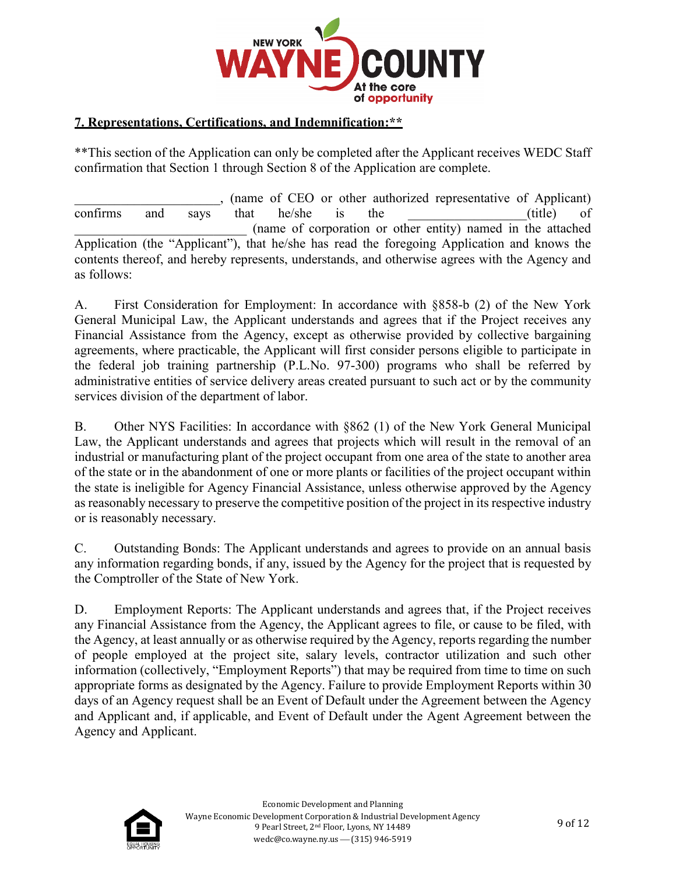

#### **7. Representations, Certifications, and Indemnification:\*\***

\*\*This section of the Application can only be completed after the Applicant receives WEDC Staff confirmation that Section 1 through Section 8 of the Application are complete.

\_\_\_\_\_\_\_\_\_\_\_\_\_\_\_\_\_\_\_\_\_\_, (name of CEO or other authorized representative of Applicant) confirms and says that he/she is the \_\_\_\_\_\_\_\_\_\_\_\_\_\_\_(title) of \_\_\_\_\_\_\_\_\_\_\_\_\_\_\_\_\_\_\_\_\_\_\_\_\_\_ (name of corporation or other entity) named in the attached Application (the "Applicant"), that he/she has read the foregoing Application and knows the contents thereof, and hereby represents, understands, and otherwise agrees with the Agency and as follows:

A. First Consideration for Employment: In accordance with §858-b (2) of the New York General Municipal Law, the Applicant understands and agrees that if the Project receives any Financial Assistance from the Agency, except as otherwise provided by collective bargaining agreements, where practicable, the Applicant will first consider persons eligible to participate in the federal job training partnership (P.L.No. 97-300) programs who shall be referred by administrative entities of service delivery areas created pursuant to such act or by the community services division of the department of labor.

B. Other NYS Facilities: In accordance with §862 (1) of the New York General Municipal Law, the Applicant understands and agrees that projects which will result in the removal of an industrial or manufacturing plant of the project occupant from one area of the state to another area of the state or in the abandonment of one or more plants or facilities of the project occupant within the state is ineligible for Agency Financial Assistance, unless otherwise approved by the Agency as reasonably necessary to preserve the competitive position of the project in its respective industry or is reasonably necessary.

C. Outstanding Bonds: The Applicant understands and agrees to provide on an annual basis any information regarding bonds, if any, issued by the Agency for the project that is requested by the Comptroller of the State of New York.

D. Employment Reports: The Applicant understands and agrees that, if the Project receives any Financial Assistance from the Agency, the Applicant agrees to file, or cause to be filed, with the Agency, at least annually or as otherwise required by the Agency, reports regarding the number of people employed at the project site, salary levels, contractor utilization and such other information (collectively, "Employment Reports") that may be required from time to time on such appropriate forms as designated by the Agency. Failure to provide Employment Reports within 30 days of an Agency request shall be an Event of Default under the Agreement between the Agency and Applicant and, if applicable, and Event of Default under the Agent Agreement between the Agency and Applicant.

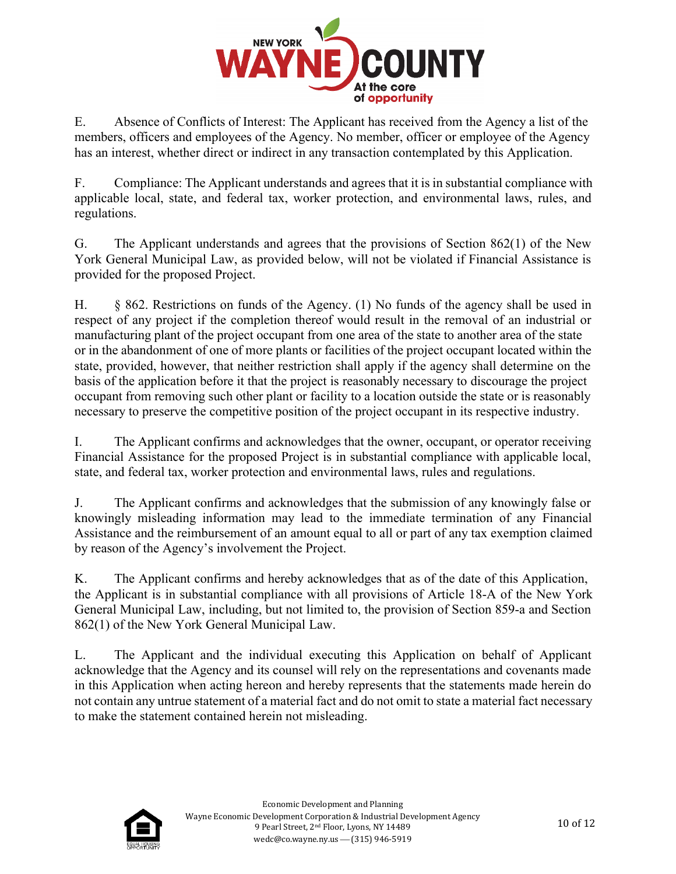

E. Absence of Conflicts of Interest: The Applicant has received from the Agency a list of the members, officers and employees of the Agency. No member, officer or employee of the Agency has an interest, whether direct or indirect in any transaction contemplated by this Application.

F. Compliance: The Applicant understands and agrees that it is in substantial compliance with applicable local, state, and federal tax, worker protection, and environmental laws, rules, and regulations.

G. The Applicant understands and agrees that the provisions of Section 862(1) of the New York General Municipal Law, as provided below, will not be violated if Financial Assistance is provided for the proposed Project.

H. § 862. Restrictions on funds of the Agency. (1) No funds of the agency shall be used in respect of any project if the completion thereof would result in the removal of an industrial or manufacturing plant of the project occupant from one area of the state to another area of the state or in the abandonment of one of more plants or facilities of the project occupant located within the state, provided, however, that neither restriction shall apply if the agency shall determine on the basis of the application before it that the project is reasonably necessary to discourage the project occupant from removing such other plant or facility to a location outside the state or is reasonably necessary to preserve the competitive position of the project occupant in its respective industry.

I. The Applicant confirms and acknowledges that the owner, occupant, or operator receiving Financial Assistance for the proposed Project is in substantial compliance with applicable local, state, and federal tax, worker protection and environmental laws, rules and regulations.

J. The Applicant confirms and acknowledges that the submission of any knowingly false or knowingly misleading information may lead to the immediate termination of any Financial Assistance and the reimbursement of an amount equal to all or part of any tax exemption claimed by reason of the Agency's involvement the Project.

K. The Applicant confirms and hereby acknowledges that as of the date of this Application, the Applicant is in substantial compliance with all provisions of Article 18-A of the New York General Municipal Law, including, but not limited to, the provision of Section 859-a and Section 862(1) of the New York General Municipal Law.

L. The Applicant and the individual executing this Application on behalf of Applicant acknowledge that the Agency and its counsel will rely on the representations and covenants made in this Application when acting hereon and hereby represents that the statements made herein do not contain any untrue statement of a material fact and do not omit to state a material fact necessary to make the statement contained herein not misleading.

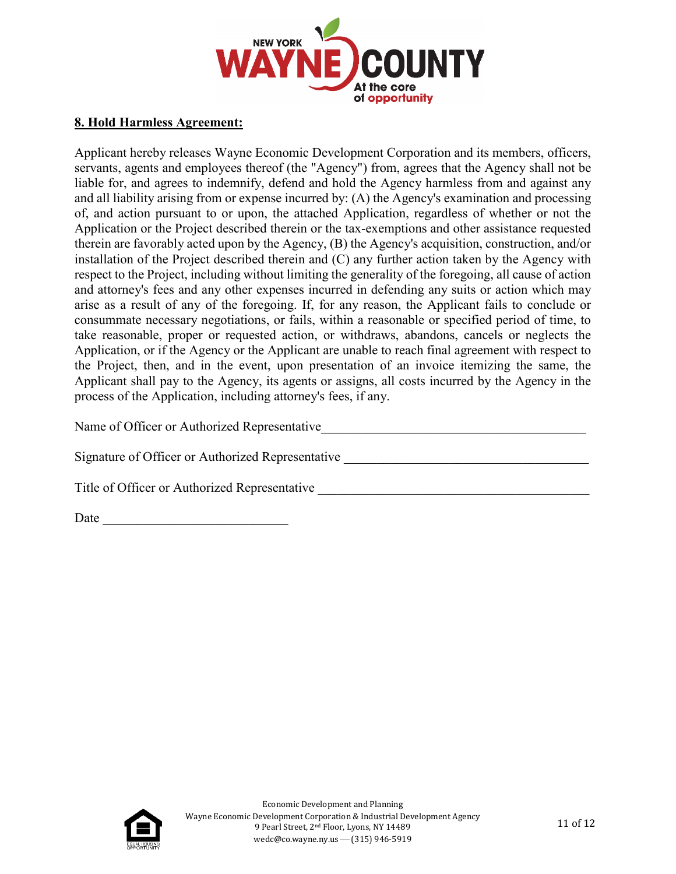

#### **8. Hold Harmless Agreement:**

Applicant hereby releases Wayne Economic Development Corporation and its members, officers, servants, agents and employees thereof (the "Agency") from, agrees that the Agency shall not be liable for, and agrees to indemnify, defend and hold the Agency harmless from and against any and all liability arising from or expense incurred by: (A) the Agency's examination and processing of, and action pursuant to or upon, the attached Application, regardless of whether or not the Application or the Project described therein or the tax-exemptions and other assistance requested therein are favorably acted upon by the Agency, (B) the Agency's acquisition, construction, and/or installation of the Project described therein and (C) any further action taken by the Agency with respect to the Project, including without limiting the generality of the foregoing, all cause of action and attorney's fees and any other expenses incurred in defending any suits or action which may arise as a result of any of the foregoing. If, for any reason, the Applicant fails to conclude or consummate necessary negotiations, or fails, within a reasonable or specified period of time, to take reasonable, proper or requested action, or withdraws, abandons, cancels or neglects the Application, or if the Agency or the Applicant are unable to reach final agreement with respect to the Project, then, and in the event, upon presentation of an invoice itemizing the same, the Applicant shall pay to the Agency, its agents or assigns, all costs incurred by the Agency in the process of the Application, including attorney's fees, if any.

Name of Officer or Authorized Representative\_\_\_\_\_\_\_\_\_\_\_\_\_\_\_\_\_\_\_\_\_\_\_\_\_\_\_\_\_\_\_\_\_\_\_\_\_\_\_\_

Signature of Officer or Authorized Representative \_\_\_\_\_\_\_\_\_\_\_\_\_\_\_\_\_\_\_\_\_\_\_\_\_\_\_\_\_\_\_

Title of Officer or Authorized Representative

Date  $\Box$